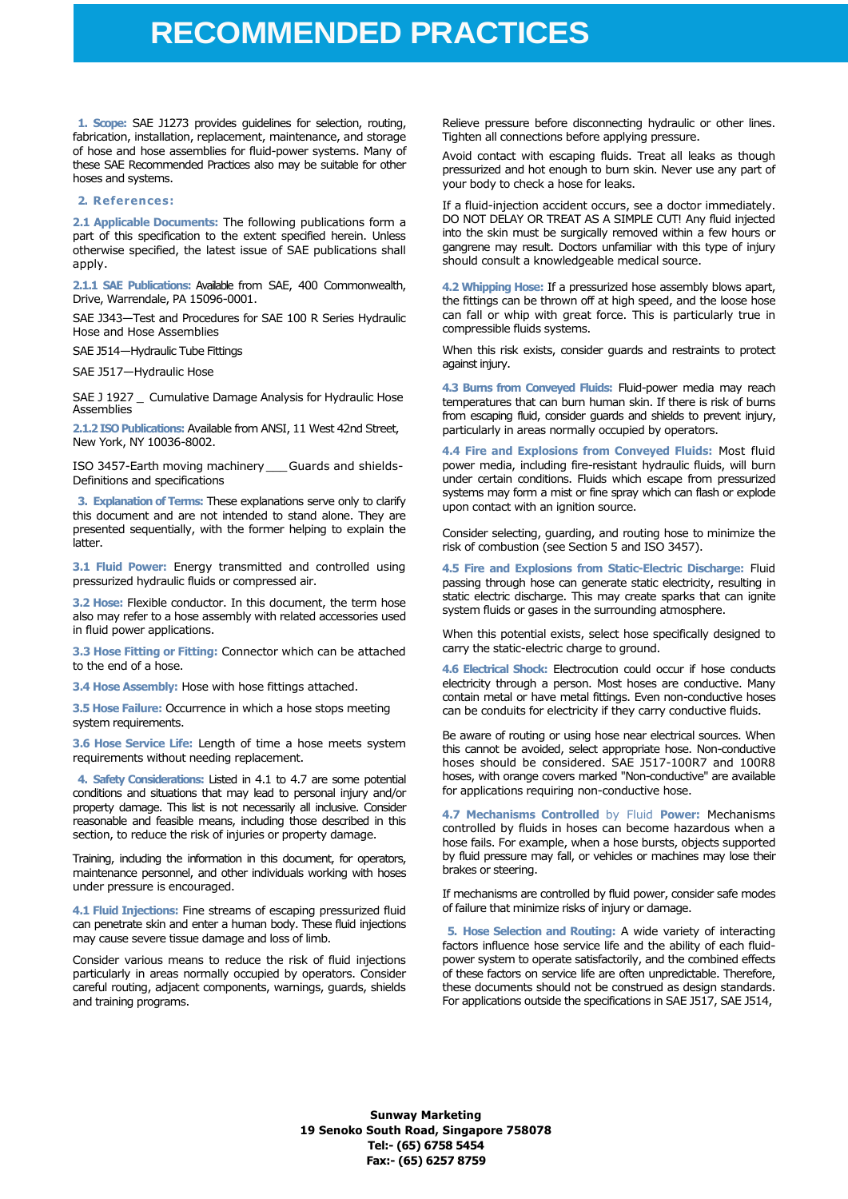**1. Scope:** SAE J1273 provides guidelines for selection, routing, fabrication, installation, replacement, maintenance, and storage of hose and hose assemblies for fluid-power systems. Many of these SAE Recommended Practices also may be suitable for other hoses and systems.

#### **2. References:**

**2.1 Applicable Documents:** The following publications form a part of this specification to the extent specified herein. Unless otherwise specified, the latest issue of SAE publications shall apply.

**2.1.1 SAE Publications:** Available from SAE, 400 Commonwealth, Drive, Warrendale, PA 15096-0001.

SAE J343—Test and Procedures for SAE 100 R Series Hydraulic Hose and Hose Assemblies

SAE J514—Hydraulic Tube Fittings

SAE J517—Hydraulic Hose

SAE J 1927 \_ Cumulative Damage Analysis for Hydraulic Hose Assemblies

**2.1.2 ISO Publications:** Available from ANSI, 11 West 42nd Street, New York, NY 10036-8002.

ISO 3457-Earth moving machinery\_\_\_Guards and shields-Definitions and specifications

**3. Explanation of Terms:** These explanations serve only to clarify this document and are not intended to stand alone. They are presented sequentially, with the former helping to explain the latter.

**3.1 Fluid Power:** Energy transmitted and controlled using pressurized hydraulic fluids or compressed air.

**3.2 Hose:** Flexible conductor. In this document, the term hose also may refer to a hose assembly with related accessories used in fluid power applications.

**3.3 Hose Fitting or Fitting:** Connector which can be attached to the end of a hose.

**3.4 Hose Assembly:** Hose with hose fittings attached.

**3.5 Hose Failure:** Occurrence in which a hose stops meeting system requirements.

**3.6 Hose Service Life:** Length of time a hose meets system requirements without needing replacement.

**4. Safety Considerations:** Listed in 4.1 to 4.7 are some potential conditions and situations that may lead to personal injury and/or property damage. This list is not necessarily all inclusive. Consider reasonable and feasible means, including those described in this section, to reduce the risk of injuries or property damage.

Training, including the information in this document, for operators, maintenance personnel, and other individuals working with hoses under pressure is encouraged.

**4.1 Fluid Injections:** Fine streams of escaping pressurized fluid can penetrate skin and enter a human body. These fluid injections may cause severe tissue damage and loss of limb.

Consider various means to reduce the risk of fluid injections particularly in areas normally occupied by operators. Consider careful routing, adjacent components, warnings, guards, shields and training programs.

Relieve pressure before disconnecting hydraulic or other lines. Tighten all connections before applying pressure.

Avoid contact with escaping fluids. Treat all leaks as though pressurized and hot enough to burn skin. Never use any part of your body to check a hose for leaks.

If a fluid-injection accident occurs, see a doctor immediately. DO NOT DELAY OR TREAT AS A SIMPLE CUT! Any fluid injected into the skin must be surgically removed within a few hours or gangrene may result. Doctors unfamiliar with this type of injury should consult a knowledgeable medical source.

**4.2 Whipping Hose:** If a pressurized hose assembly blows apart, the fittings can be thrown off at high speed, and the loose hose can fall or whip with great force. This is particularly true in compressible fluids systems.

When this risk exists, consider guards and restraints to protect against injury.

**4.3 Burns from Conveyed Fluids:** Fluid-power media may reach temperatures that can burn human skin. If there is risk of burns from escaping fluid, consider guards and shields to prevent injury, particularly in areas normally occupied by operators.

**4.4 Fire and Explosions from Conveyed Fluids:** Most fluid power media, including fire-resistant hydraulic fluids, will burn under certain conditions. Fluids which escape from pressurized systems may form a mist or fine spray which can flash or explode upon contact with an ignition source.

Consider selecting, guarding, and routing hose to minimize the risk of combustion (see Section 5 and ISO 3457).

**4.5 Fire and Explosions from Static-Electric Discharge:** Fluid passing through hose can generate static electricity, resulting in static electric discharge. This may create sparks that can ignite system fluids or gases in the surrounding atmosphere.

When this potential exists, select hose specifically designed to carry the static-electric charge to ground.

**4.6 Electrical Shock:** Electrocution could occur if hose conducts electricity through a person. Most hoses are conductive. Many contain metal or have metal fittings. Even non-conductive hoses can be conduits for electricity if they carry conductive fluids.

Be aware of routing or using hose near electrical sources. When this cannot be avoided, select appropriate hose. Non-conductive hoses should be considered. SAE J517-100R7 and 100R8 hoses, with orange covers marked "Non-conductive" are available for applications requiring non-conductive hose.

**4.7 Mechanisms Controlled** by Fluid **Power:** Mechanisms controlled by fluids in hoses can become hazardous when a hose fails. For example, when a hose bursts, objects supported by fluid pressure may fall, or vehicles or machines may lose their brakes or steering.

If mechanisms are controlled by fluid power, consider safe modes of failure that minimize risks of injury or damage.

**5. Hose Selection and Routing:** A wide variety of interacting factors influence hose service life and the ability of each fluidpower system to operate satisfactorily, and the combined effects of these factors on service life are often unpredictable. Therefore, these documents should not be construed as design standards. For applications outside the specifications in SAE J517, SAE J514,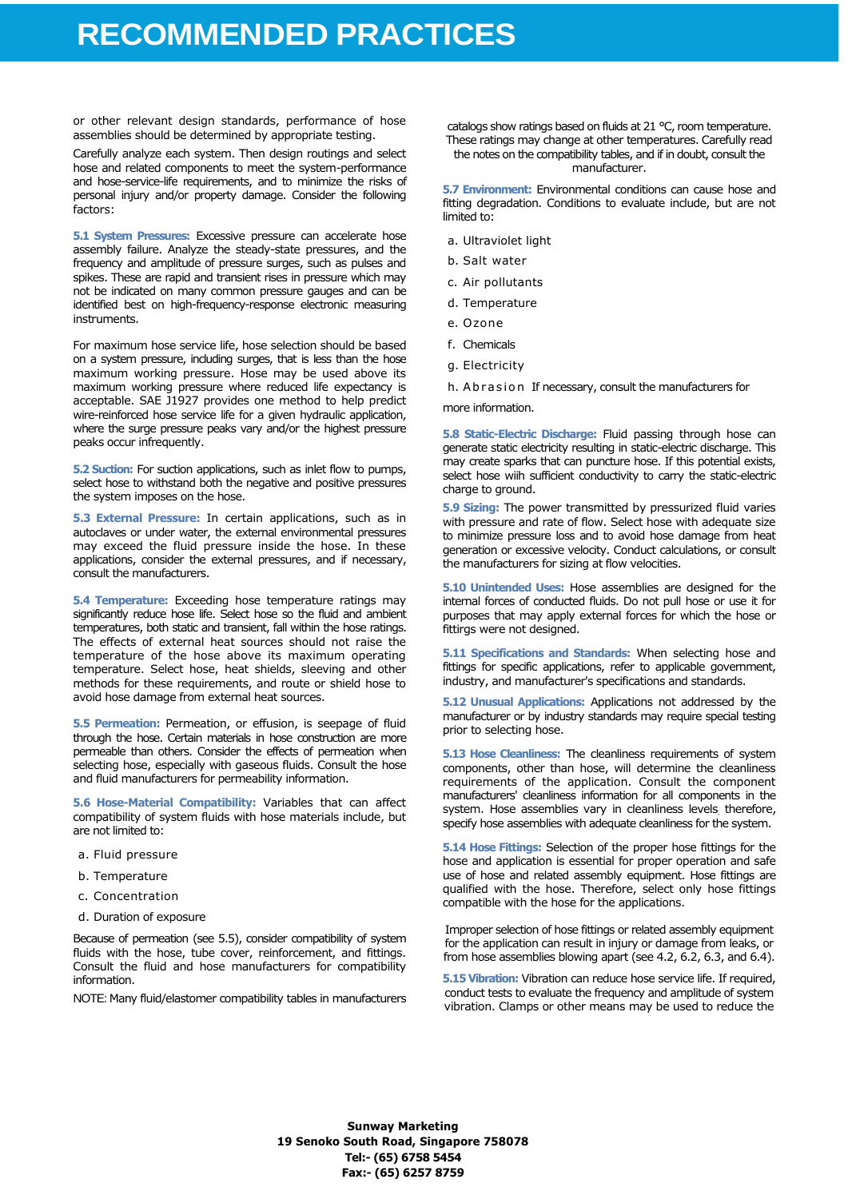or other relevant design standards, performance of hose assemblies should be determined by appropriate testing.

Carefully analyze each system. Then design routings and select hose and related components to meet the system-performance and hose-service-life requirements, and to minimize the risks of personal injury and/or property damage. Consider the following factors:

**5.1 System Pressures:** Excessive pressure can accelerate hose assembly failure. Analyze the steady-state pressures, and the frequency and amplitude of pressure surges, such as pulses and spikes. These are rapid and transient rises in pressure which may not be indicated on many common pressure gauges and can be identified best on high-frequency-response electronic measuring instruments.

For maximum hose service life, hose selection should be based on a system pressure, including surges, that is less than the hose maximum working pressure. Hose may be used above its maximum working pressure where reduced life expectancy is acceptable. SAE J1927 provides one method to help predict wire-reinforced hose service life for a given hydraulic application, where the surge pressure peaks vary and/or the highest pressure peaks occur infrequently.

**5.2 Suction:** For suction applications, such as inlet flow to pumps, select hose to withstand both the negative and positive pressures the system imposes on the hose.

**5.3 External Pressure:** In certain applications, such as in autoclaves or under water, the external environmental pressures may exceed the fluid pressure inside the hose. In these applications, consider the external pressures, and if necessary, consult the manufacturers.

**5.4 Temperature:** Exceeding hose temperature ratings may significantly reduce hose life. Select hose so the fluid and ambient temperatures, both static and transient, fall within the hose ratings. The effects of external heat sources should not raise the temperature of the hose above its maximum operating temperature. Select hose, heat shields, sleeving and other methods for these requirements, and route or shield hose to avoid hose damage from external heat sources.

**5.5 Permeation:** Permeation, or effusion, is seepage of fluid through the hose. Certain materials in hose construction are more permeable than others. Consider the effects of permeation when selecting hose, especially with gaseous fluids. Consult the hose and fluid manufacturers for permeability information.

**5.6 Hose-Material Compatibility:** Variables that can affect compatibility of system fluids with hose materials include, but are not limited to:

- a. Fluid pressure
- b. Temperature
- c. Concentration
- d. Duration of exposure

Because of permeation (see 5.5), consider compatibility of system fluids with the hose, tube cover, reinforcement, and fittings. Consult the fluid and hose manufacturers for compatibility information.

NOTE: Many fluid/elastomer compatibility tables in manufacturers

catalogs show ratings based on fluids at 21 °C, room temperature. These ratings may change at other temperatures. Carefully read the notes on the compatibility tables, and if in doubt, consult the manufacturer.

**5.7 Environment:** Environmental conditions can cause hose and fitting degradation. Conditions to evaluate include, but are not limited to:

- a. Ultraviolet light
- b. Salt water
- c. Air pollutants
- d. Temperature
- e. Ozone
- f. Chemicals
- g. Electricity
- h. A b r a s i o n If necessary, consult the manufacturers for

more information.

**5.8 Static-Electric Discharge:** Fluid passing through hose can generate static electricity resulting in static-electric discharge. This may create sparks that can puncture hose. If this potential exists, select hose wiih sufficient conductivity to carry the static-electric charge to ground.

**5.9 Sizing:** The power transmitted by pressurized fluid varies with pressure and rate of flow. Select hose with adequate size to minimize pressure loss and to avoid hose damage from heat generation or excessive velocity. Conduct calculations, or consult the manufacturers for sizing at flow velocities.

**5.10 Unintended Uses:** Hose assemblies are designed for the internal forces of conducted fluids. Do not pull hose or use it for purposes that may apply external forces for which the hose or fittirgs were not designed.

**5.11 Specifications and Standards:** When selecting hose and fittings for specific applications, refer to applicable government, industry, and manufacturer's specifications and standards.

**5.12 Unusual Applications:** Applications not addressed by the manufacturer or by industry standards may require special testing prior to selecting hose.

**5.13 Hose Cleanliness:** The cleanliness requirements of system components, other than hose, will determine the cleanliness requirements of the application. Consult the component manufacturers' cleanliness information for all components in the system. Hose assemblies vary in cleanliness levels; therefore, specify hose assemblies with adequate cleanliness for the system.

**5.14 Hose Fittings:** Selection of the proper hose fittings for the hose and application is essential for proper operation and safe use of hose and related assembly equipment. Hose fittings are qualified with the hose. Therefore, select only hose fittings compatible with the hose for the applications.

Improper selection of hose fittings or related assembly equipment for the application can result in injury or damage from leaks, or from hose assemblies blowing apart (see 4.2, 6.2, 6.3, and 6.4).

**5.15 Vibration:** Vibration can reduce hose service life. If required, conduct tests to evaluate the frequency and amplitude of system vibration. Clamps or other means may be used to reduce the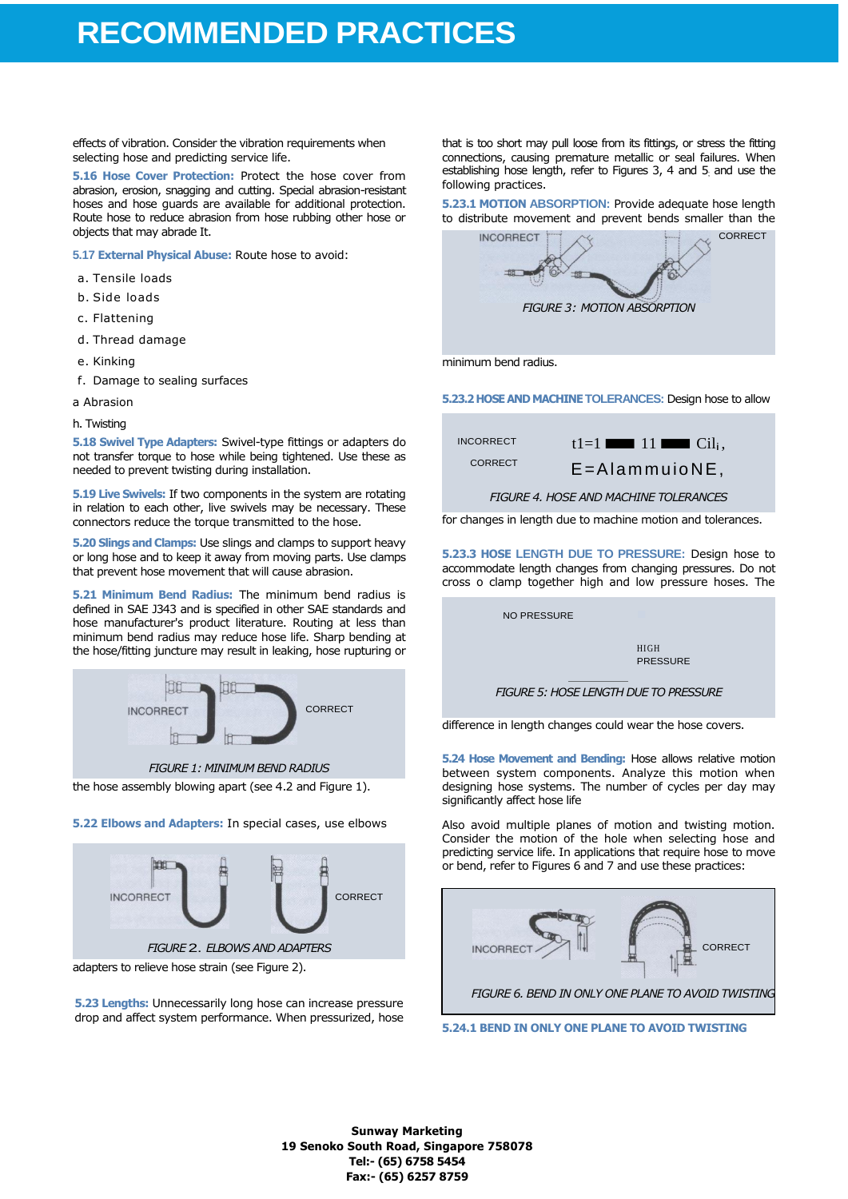effects of vibration. Consider the vibration requirements when selecting hose and predicting service life.

**5.16 Hose Cover Protection:** Protect the hose cover from abrasion, erosion, snagging and cutting. Special abrasion-resistant hoses and hose guards are available for additional protection. Route hose to reduce abrasion from hose rubbing other hose or objects that may abrade It.

**5.17 External Physical Abuse:** Route hose to avoid:

- a. Tensile loads
- b. Side loads
- c. Flattening
- d. Thread damage
- e. Kinking
- f. Damage to sealing surfaces
- a Abrasion

h. Twisting

**5.18 Swivel Type Adapters:** Swivel-type fittings or adapters do not transfer torque to hose while being tightened. Use these as needed to prevent twisting during installation.

**5.19 Live Swivels:** If two components in the system are rotating in relation to each other, live swivels may be necessary. These connectors reduce the torque transmitted to the hose.

**5.20 Slings and Clamps:** Use slings and clamps to support heavy or long hose and to keep it away from moving parts. Use clamps that prevent hose movement that will cause abrasion.

**5.21 Minimum Bend Radius:** The minimum bend radius is defined in SAE J343 and is specified in other SAE standards and hose manufacturer's product literature. Routing at less than minimum bend radius may reduce hose life. Sharp bending at the hose/fitting juncture may result in leaking, hose rupturing or



the hose assembly blowing apart (see 4.2 and Figure 1).

**5.22 Elbows and Adapters:** In special cases, use elbows



adapters to relieve hose strain (see Figure 2).

**5.23 Lengths:** Unnecessarily long hose can increase pressure drop and affect system performance. When pressurized, hose

that is too short may pull loose from its fittings, or stress the fitting connections, causing premature metallic or seal failures. When establishing hose length, refer to Figures 3, 4 and 5; and use the following practices.

**5.23.1 MOTION ABSORPTION:** Provide adequate hose length to distribute movement and prevent bends smaller than the



minimum bend radius.

**5.23.2 HOSE AND MACHINE TOLERANCES:** Design hose to allow

INCORRECT **CORRECT**   $t1=1$  **The 11** Cil<sub>i</sub>, E=Alammuio NE,

*FIGURE 4. HOSE AND MACHINE TOLERANCES*

for changes in length due to machine motion and tolerances.

**5.23.3 HOSE LENGTH DUE TO PRESSURE:** Design hose to accommodate length changes from changing pressures. Do not cross o clamp together high and low pressure hoses. The

**NO PRESSURE** 

HI GH **PRESSURE** 

*FIGURE 5: HOSE LENGTH DUE TO PRESSURE*

difference in length changes could wear the hose covers.

**5.24 Hose Movement and Bending:** Hose allows relative motion between system components. Analyze this motion when designing hose systems. The number of cycles per day may significantly affect hose life

Also avoid multiple planes of motion and twisting motion. Consider the motion of the hole when selecting hose and predicting service life. In applications that require hose to move or bend, refer to Figures 6 and 7 and use these practices:



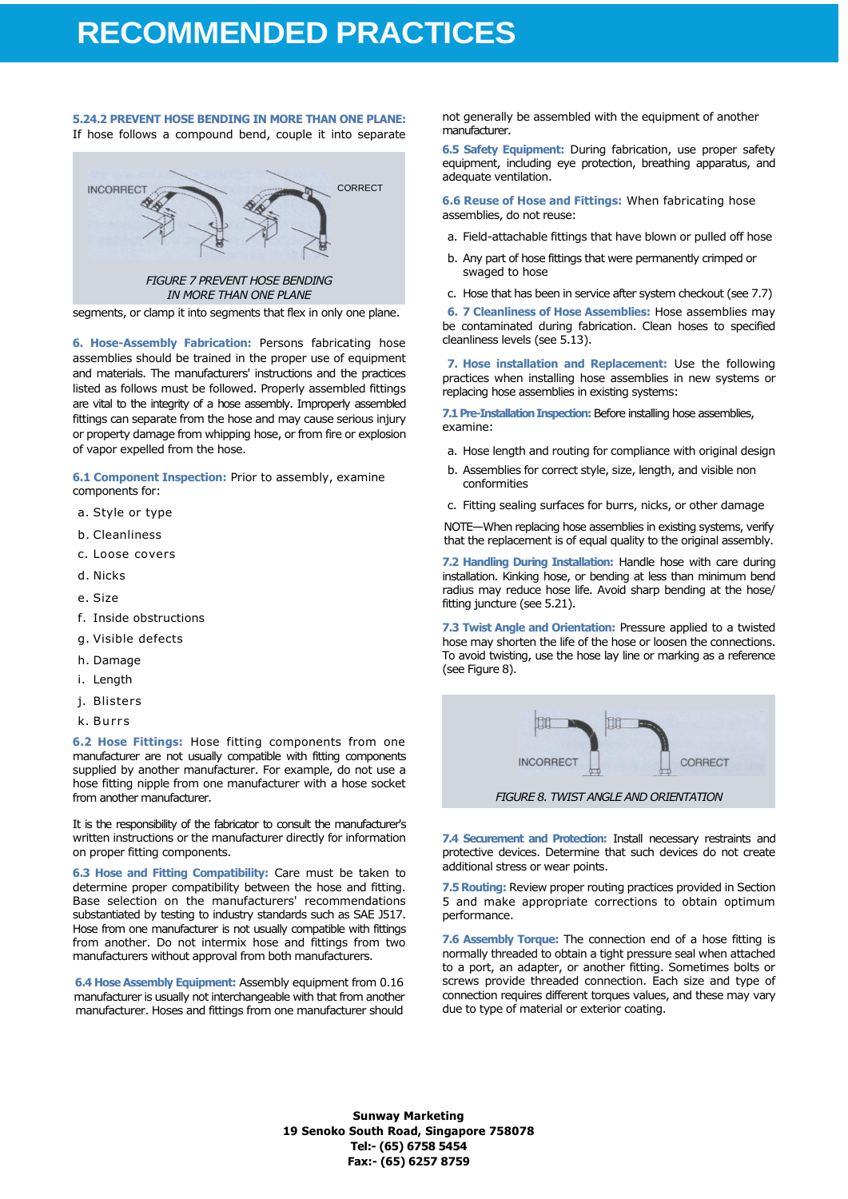### **5.24.2 PREVENT HOSE BENDING IN MORE THAN ONE PLANE:**

If hose follows a compound bend, couple it into separate



segments, or clamp it into segments that flex in only one plane.

**6. Hose-Assembly Fabrication:** Persons fabricating hose assemblies should be trained in the proper use of equipment and materials. The manufacturers' instructions and the practices listed as follows must be followed. Properly assembled fittings are vital to the integrity of a hose assembly. Improperly assembled fittings can separate from the hose and may cause serious injury or property damage from whipping hose, or from fire or explosion of vapor expelled from the hose.

**6.1 Component Inspection:** Prior to assembly, examine components for:

- a. Style or type
- b. Cleanliness
- c. Loose covers
- d. Nicks
- e. Size
- f. Inside obstructions
- g. Visible defects
- h. Damage
- i. Length
- j. Blisters
- k. Burrs

**6.2 Hose Fittings:** Hose fitting components from one manufacturer are not usually compatible with fitting components supplied by another manufacturer. For example, do not use a hose fitting nipple from one manufacturer with a hose socket from another manufacturer.

It is the responsibility of the fabricator to consult the manufacturer's written instructions or the manufacturer directly for information on proper fitting components.

**6.3 Hose and Fitting Compatibility:** Care must be taken to determine proper compatibility between the hose and fitting. Base selection on the manufacturers' recommendations substantiated by testing to industry standards such as SAE J517. Hose from one manufacturer is not usually compatible with fittings from another. Do not intermix hose and fittings from two manufacturers without approval from both manufacturers.

**6.4 Hose Assembly Equipment:** Assembly equipment from 0.16 manufacturer is usually not interchangeable with that from another manufacturer. Hoses and fittings from one manufacturer should not generally be assembled with the equipment of another manufacturer.

**6.5 Safety Equipment:** During fabrication, use proper safety equipment, including eye protection, breathing apparatus, and adequate ventilation.

**6.6 Reuse of Hose and Fittings:** When fabricating hose assemblies, do not reuse:

- a. Field-attachable fittings that have blown or pulled off hose
- b. Any part of hose fittings that were permanently crimped or swaged to hose
- c. Hose that has been in service after system checkout (see 7.7)

**6. 7 Cleanliness of Hose Assemblies:** Hose assemblies may be contaminated during fabrication. Clean hoses to specified cleanliness levels (see 5.13).

**7. Hose installation and Replacement:** Use the following practices when installing hose assemblies in new systems or replacing hose assemblies in existing systems:

**7.1 Pre-Installation Inspection:** Before installing hose assemblies, examine:

- a. Hose length and routing for compliance with original design
- b. Assemblies for correct style, size, length, and visible non conformities
- c. Fitting sealing surfaces for burrs, nicks, or other damage

NOTE—When replacing hose assemblies in existing systems, verify that the replacement is of equal quality to the original assembly.

**7.2 Handling During Installation:** Handle hose with care during installation. Kinking hose, or bending at less than minimum bend radius may reduce hose life. Avoid sharp bending at the hose/ fitting juncture (see 5.21).

**7.3 Twist Angle and Orientation:** Pressure applied to a twisted hose may shorten the life of the hose or loosen the connections. To avoid twisting, use the hose lay line or marking as a reference (see Figure 8).



**7.4 Securement and Protection:** Install necessary restraints and protective devices. Determine that such devices do not create additional stress or wear points.

**7.5 Routing:** Review proper routing practices provided in Section 5 and make appropriate corrections to obtain optimum performance.

**7.6 Assembly Torque:** The connection end of a hose fitting is normally threaded to obtain a tight pressure seal when attached to a port, an adapter, or another fitting. Sometimes bolts or screws provide threaded connection. Each size and type of connection requires different torques values, and these may vary due to type of material or exterior coating.